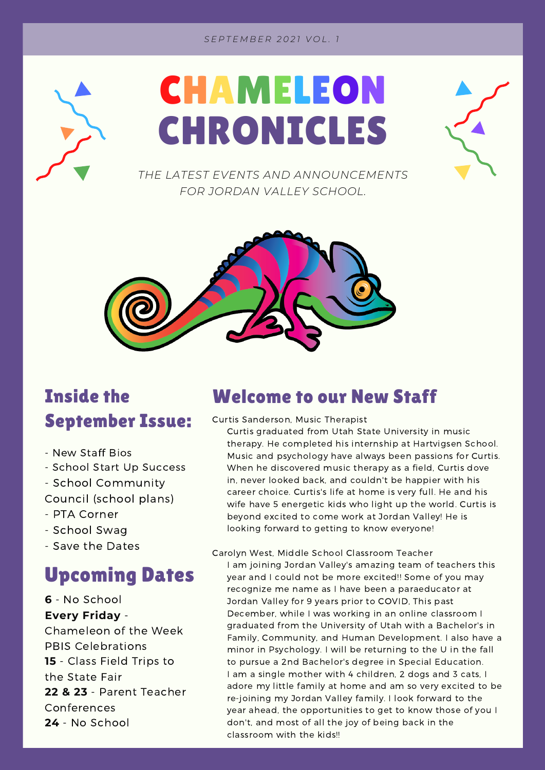#### *S E P T E M B E R 2 0 2 1 V O L . 1*





*THE LATEST EVENTS AND ANNOUNCEMENTS FOR JORDAN VALLEY SCHOOL.*



## Inside the September Issue:

- New Staff Bios
- School Start Up Success
- School Community
- Council (school plans)
- PTA Corner
- School Swag
- Save the Dates

### Upcoming Dates

**6** - No School **Every Friday** -

Chameleon of the Week PBIS Celebrations **15** - Class Field Trips to the State Fair **22 & 23** - Parent Teacher Conferences **24** - No School

#### Welcome to our New Staff

Curtis Sanderson, Music Therapist

Curtis graduated from Utah State University in music therapy. He completed his internship at Hartvigsen School. Music and psychology have always been passions for Curtis. When he discovered music therapy as a field, Curtis dove in, never looked back, and couldn't be happier with his career choice. Curtis's life at home is very full. He and his wife have 5 energetic kids who light up the world. Curtis is beyond excited to come work at Jordan Valley! He is looking forward to getting to know everyone!

Carolyn West, Middle School Classroom Teacher

I am joining Jordan Valley's amazing team of teachers this year and I could not be more excited!! Some of you may recognize me name as I have been a paraeducator at Jordan Valley for 9 years prior to COVID, This past December, while I was working in an online classroom I graduated from the University of Utah with a Bachelor's in Family, Community, and Human Development. I also have a minor in Psychology. I will be returning to the U in the fall to pursue a 2nd Bachelor's degree in Special Education. I am a single mother with 4 children, 2 dogs and 3 cats, I adore my little family at home and am so very excited to be re-joining my Jordan Valley family. I look forward to the year ahead, the opportunities to get to know those of you I don't, and most of all the joy of being back in the classroom with the kids!!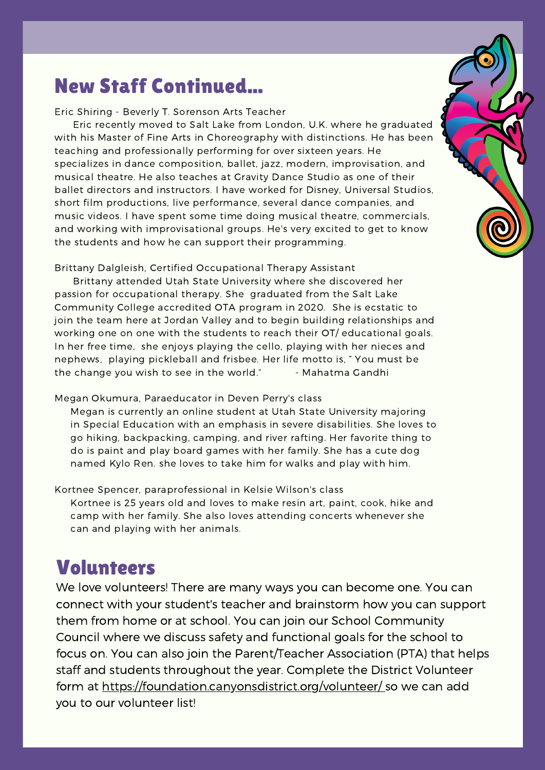### New Staff Continued...

#### Eric Shiring - Beverly T. Sorenson Arts Teacher

Eric recently moved to Salt Lake from London, U.K. where he graduated with his Master of Fine Arts in Choreography with distinctions. He has been teaching and professionally performing for over sixteen years. He specializes in dance composition, ballet, jazz, modern, improvisation, and musical theatre. He also teaches at Gravity Dance Studio as one of their ballet directors and instructors. I have worked for Disney, Universal Studios, short film productions, live performance, several dance companies, and music videos. I have spent some time doing musical theatre, commercials, and working with improvisational groups. He's very excited to get to know the students and how he can support their programming.

Brittany Dalgleish, Certified Occupational Therapy Assistant

Brittany attended Utah State University where she discovered her passion for occupational therapy. She graduated from the Salt Lake Community College accredited OTA program in 2020. She is ecstatic to join the team here at Jordan Valley and to begin building relationships and working one on one with the students to reach their OT/ educational goals. In her free time, she enjoys playing the cello, playing with her nieces and nephews, playing pickleball and frisbee. Her life motto is, " You must be the change you wish to see in the world." - Mahatma Gandhi

#### Megan Okumura, Paraeducator in Deven Perry's class

Megan is currently an online student at Utah State University majoring in Special Education with an emphasis in severe disabilities. She loves to go hiking, backpacking, camping, and river rafting. Her favorite thing to do is paint and play board games with her family. She has a cute dog named Kylo Ren. she loves to take him for walks and play with him.

Kortnee Spencer, paraprofessional in Kelsie Wilson's class Kortnee is 25 years old and loves to make resin art, paint, cook, hike and camp with her family. She also loves attending concerts whenever she can and playing with her animals.

### Volunteers

We love volunteers! There are many ways you can become one. You can connect with your student's teacher and brainstorm how you can support them from home or at school. You can join our School Community Council where we discuss safety and functional goals for the school to focus on. You can also join the Parent/Teacher Association (PTA) that helps staff and students throughout the year. Complete the District Volunteer form at https://foundation.canyonsdistrict.org/volunteer/ so we can add you to our volunteer list!